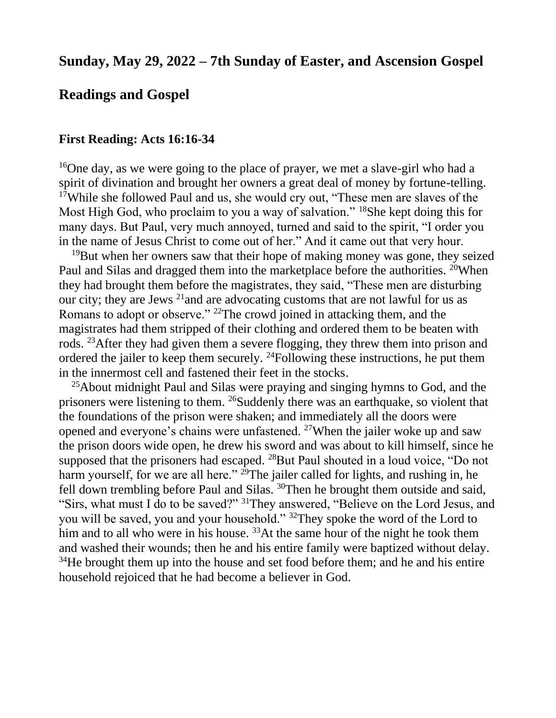# **Sunday, May 29, 2022 – 7th Sunday of Easter, and Ascension Gospel**

### **Readings and Gospel**

#### **First Reading: Acts 16:16-34**

<sup>16</sup>One day, as we were going to the place of prayer, we met a slave-girl who had a spirit of divination and brought her owners a great deal of money by fortune-telling. <sup>17</sup>While she followed Paul and us, she would cry out, "These men are slaves of the Most High God, who proclaim to you a way of salvation." <sup>18</sup>She kept doing this for many days. But Paul, very much annoyed, turned and said to the spirit, "I order you in the name of Jesus Christ to come out of her." And it came out that very hour.

<sup>19</sup>But when her owners saw that their hope of making money was gone, they seized Paul and Silas and dragged them into the marketplace before the authorities. <sup>20</sup>When they had brought them before the magistrates, they said, "These men are disturbing our city; they are Jews  $^{21}$  and are advocating customs that are not lawful for us as Romans to adopt or observe." <sup>22</sup>The crowd joined in attacking them, and the magistrates had them stripped of their clothing and ordered them to be beaten with rods. <sup>23</sup>After they had given them a severe flogging, they threw them into prison and ordered the jailer to keep them securely.  $^{24}$ Following these instructions, he put them in the innermost cell and fastened their feet in the stocks.

 $25A$ bout midnight Paul and Silas were praying and singing hymns to God, and the prisoners were listening to them. <sup>26</sup>Suddenly there was an earthquake, so violent that the foundations of the prison were shaken; and immediately all the doors were opened and everyone's chains were unfastened. <sup>27</sup>When the jailer woke up and saw the prison doors wide open, he drew his sword and was about to kill himself, since he supposed that the prisoners had escaped. <sup>28</sup>But Paul shouted in a loud voice, "Do not harm yourself, for we are all here."  $^{29}$ The jailer called for lights, and rushing in, he fell down trembling before Paul and Silas. <sup>30</sup>Then he brought them outside and said, "Sirs, what must I do to be saved?" <sup>31</sup>They answered, "Believe on the Lord Jesus, and you will be saved, you and your household." <sup>32</sup>They spoke the word of the Lord to him and to all who were in his house.  $33$ At the same hour of the night he took them and washed their wounds; then he and his entire family were baptized without delay.  $34$ He brought them up into the house and set food before them; and he and his entire household rejoiced that he had become a believer in God.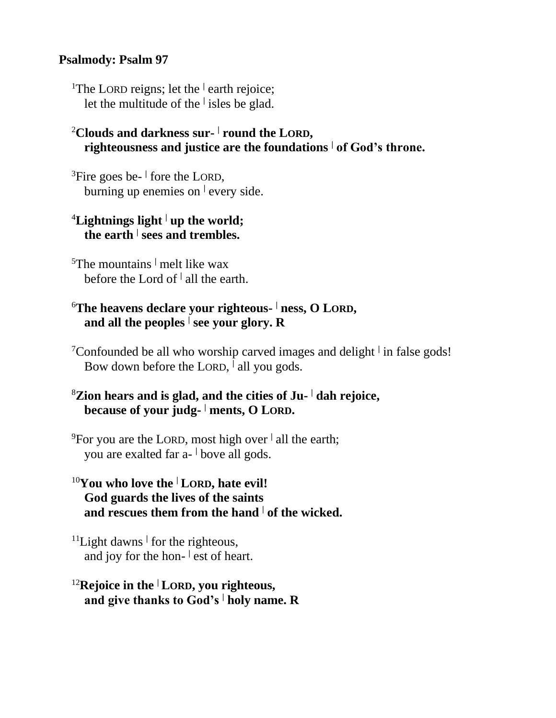#### **Psalmody: Psalm 97**

<sup>1</sup>The LORD reigns; let the <sup>|</sup> earth rejoice; let the multitude of the **<sup>|</sup>** isles be glad.

#### <sup>2</sup>**Clouds and darkness sur- | round the LORD, righteousness and justice are the foundations <sup>|</sup> of God's throne.**

<sup>3</sup>Fire goes be- fore the LORD, burning up enemies on **<sup>|</sup>** every side.

### <sup>4</sup>**Lightnings light <sup>|</sup> up the world; the earth <sup>|</sup> sees and trembles.**

<sup>5</sup>The mountains **<sup>|</sup>** melt like wax before the Lord of **<sup>|</sup>** all the earth.

## <sup>6</sup>**The heavens declare your righteous- <sup>|</sup> ness, O LORD, and all the peoples <sup>|</sup> see your glory. R**

<sup>7</sup>Confounded be all who worship carved images and delight **<sup>|</sup>** in false gods! Bow down before the LORD, <sup>|</sup> all you gods.

# <sup>8</sup>**Zion hears and is glad, and the cities of Ju- <sup>|</sup> dah rejoice, because of your judg- <sup>|</sup> ments, O LORD.**

<sup>9</sup>For you are the LORD, most high over **<sup>|</sup>** all the earth; you are exalted far a- **<sup>|</sup>** bove all gods.

# <sup>10</sup>**You who love the <sup>|</sup> LORD, hate evil! God guards the lives of the saints and rescues them from the hand <sup>|</sup> of the wicked.**

<sup>11</sup>Light dawns<sup>1</sup> for the righteous, and joy for the hon-  $\vert$  est of heart.

# <sup>12</sup>**Rejoice in the <sup>|</sup> LORD, you righteous, and give thanks to God's <sup>|</sup> holy name. R**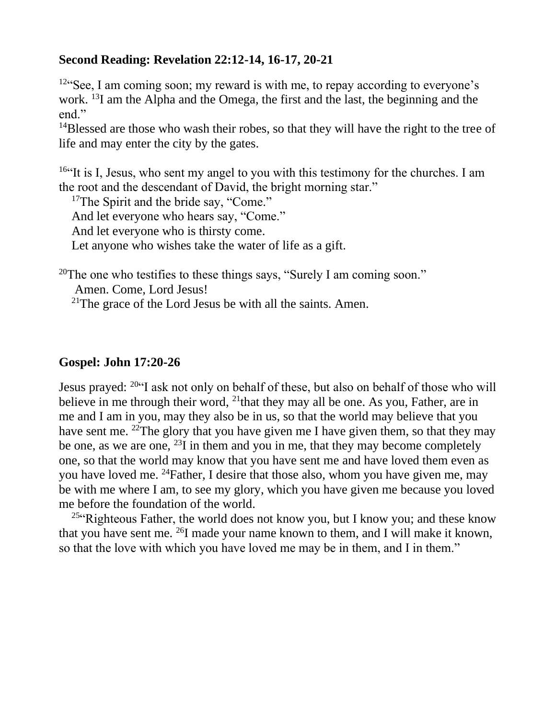### **Second Reading: Revelation 22:12-14, 16-17, 20-21**

<sup>12"</sup>See, I am coming soon; my reward is with me, to repay according to everyone's work. <sup>13</sup>I am the Alpha and the Omega, the first and the last, the beginning and the end."

 $14B$ lessed are those who wash their robes, so that they will have the right to the tree of life and may enter the city by the gates.

<sup>16"</sup>It is I, Jesus, who sent my angel to you with this testimony for the churches. I am the root and the descendant of David, the bright morning star."

<sup>17</sup>The Spirit and the bride say, "Come."

And let everyone who hears say, "Come."

And let everyone who is thirsty come.

Let anyone who wishes take the water of life as a gift.

<sup>20</sup>The one who testifies to these things says, "Surely I am coming soon."

Amen. Come, Lord Jesus!

<sup>21</sup>The grace of the Lord Jesus be with all the saints. Amen.

## **Gospel: John 17:20-26**

Jesus prayed: <sup>20"</sup>I ask not only on behalf of these, but also on behalf of those who will believe in me through their word, <sup>21</sup>that they may all be one. As you, Father, are in me and I am in you, may they also be in us, so that the world may believe that you have sent me. <sup>22</sup>The glory that you have given me I have given them, so that they may be one, as we are one,  $^{23}$ I in them and you in me, that they may become completely one, so that the world may know that you have sent me and have loved them even as you have loved me. <sup>24</sup>Father, I desire that those also, whom you have given me, may be with me where I am, to see my glory, which you have given me because you loved me before the foundation of the world.

<sup>25"</sup>Righteous Father, the world does not know you, but I know you; and these know that you have sent me.  $^{26}I$  made your name known to them, and I will make it known, so that the love with which you have loved me may be in them, and I in them."